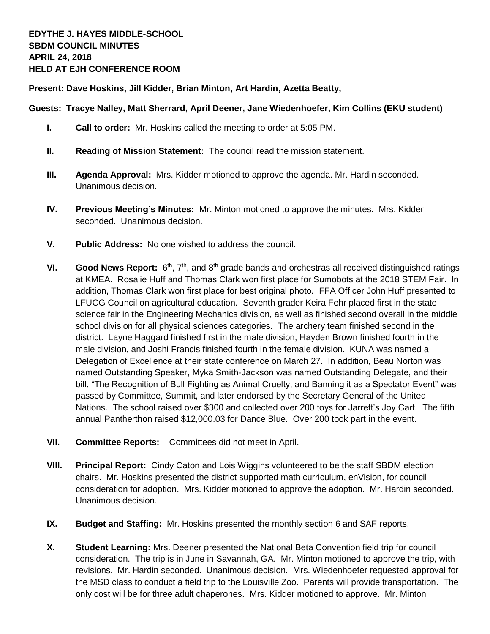**Present: Dave Hoskins, Jill Kidder, Brian Minton, Art Hardin, Azetta Beatty,** 

## **Guests: Tracye Nalley, Matt Sherrard, April Deener, Jane Wiedenhoefer, Kim Collins (EKU student)**

- **I. Call to order:** Mr. Hoskins called the meeting to order at 5:05 PM.
- **II. Reading of Mission Statement:** The council read the mission statement.
- **III. Agenda Approval:** Mrs. Kidder motioned to approve the agenda. Mr. Hardin seconded. Unanimous decision.
- **IV. Previous Meeting's Minutes:** Mr. Minton motioned to approve the minutes. Mrs. Kidder seconded. Unanimous decision.
- **V. Public Address:** No one wished to address the council.
- VI. **Good News Report:** 6<sup>th</sup>, 7<sup>th</sup>, and 8<sup>th</sup> grade bands and orchestras all received distinguished ratings at KMEA. Rosalie Huff and Thomas Clark won first place for Sumobots at the 2018 STEM Fair. In addition, Thomas Clark won first place for best original photo. FFA Officer John Huff presented to LFUCG Council on agricultural education. Seventh grader Keira Fehr placed first in the state science fair in the Engineering Mechanics division, as well as finished second overall in the middle school division for all physical sciences categories. The archery team finished second in the district. Layne Haggard finished first in the male division, Hayden Brown finished fourth in the male division, and Joshi Francis finished fourth in the female division. KUNA was named a Delegation of Excellence at their state conference on March 27. In addition, Beau Norton was named Outstanding Speaker, Myka Smith-Jackson was named Outstanding Delegate, and their bill, "The Recognition of Bull Fighting as Animal Cruelty, and Banning it as a Spectator Event" was passed by Committee, Summit, and later endorsed by the Secretary General of the United Nations. The school raised over \$300 and collected over 200 toys for Jarrett's Joy Cart. The fifth annual Pantherthon raised \$12,000.03 for Dance Blue. Over 200 took part in the event.
- **VII. Committee Reports:** Committees did not meet in April.
- **VIII. Principal Report:** Cindy Caton and Lois Wiggins volunteered to be the staff SBDM election chairs. Mr. Hoskins presented the district supported math curriculum, enVision, for council consideration for adoption. Mrs. Kidder motioned to approve the adoption. Mr. Hardin seconded. Unanimous decision.
- **IX. Budget and Staffing:** Mr. Hoskins presented the monthly section 6 and SAF reports.
- **X. Student Learning:** Mrs. Deener presented the National Beta Convention field trip for council consideration. The trip is in June in Savannah, GA. Mr. Minton motioned to approve the trip, with revisions. Mr. Hardin seconded. Unanimous decision. Mrs. Wiedenhoefer requested approval for the MSD class to conduct a field trip to the Louisville Zoo. Parents will provide transportation. The only cost will be for three adult chaperones. Mrs. Kidder motioned to approve. Mr. Minton